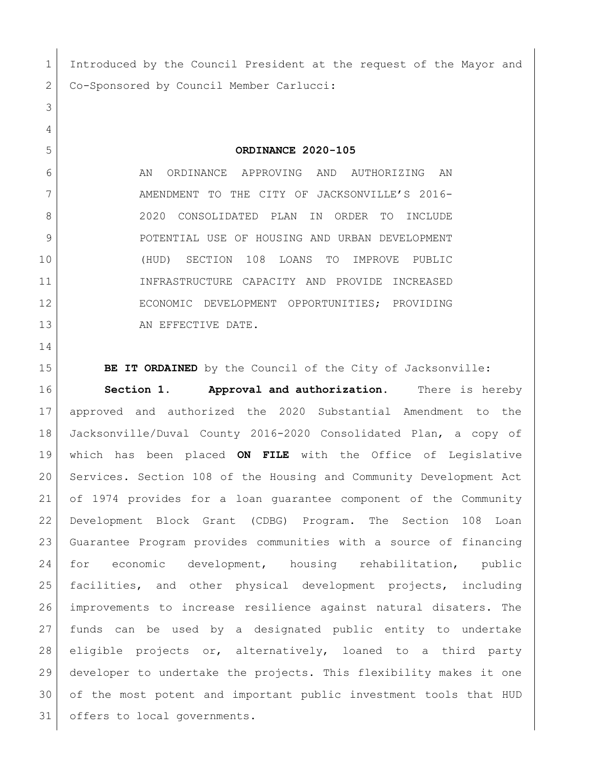1 Introduced by the Council President at the request of the Mayor and 2 Co-Sponsored by Council Member Carlucci:

**ORDINANCE 2020-105**

6 AN ORDINANCE APPROVING AND AUTHORIZING AN 7 AMENDMENT TO THE CITY OF JACKSONVILLE'S 2016- 2020 CONSOLIDATED PLAN IN ORDER TO INCLUDE 9 | POTENTIAL USE OF HOUSING AND URBAN DEVELOPMENT (HUD) SECTION 108 LOANS TO IMPROVE PUBLIC INFRASTRUCTURE CAPACITY AND PROVIDE INCREASED ECONOMIC DEVELOPMENT OPPORTUNITIES; PROVIDING 13 AN EFFECTIVE DATE.

**BE IT ORDAINED** by the Council of the City of Jacksonville: **Section 1. Approval and authorization.** There is hereby approved and authorized the 2020 Substantial Amendment to the Jacksonville/Duval County 2016-2020 Consolidated Plan, a copy of which has been placed **ON FILE** with the Office of Legislative Services. Section 108 of the Housing and Community Development Act of 1974 provides for a loan guarantee component of the Community Development Block Grant (CDBG) Program. The Section 108 Loan Guarantee Program provides communities with a source of financing for economic development, housing rehabilitation, public facilities, and other physical development projects, including improvements to increase resilience against natural disaters. The funds can be used by a designated public entity to undertake eligible projects or, alternatively, loaned to a third party developer to undertake the projects. This flexibility makes it one of the most potent and important public investment tools that HUD 31 offers to local governments.